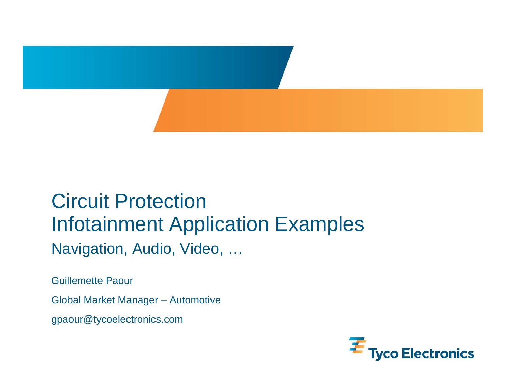

#### Circuit Protection Infotainment Application Examples Navigation, Audio, Video, …

Guillemette PaourGlobal Market Manager – Automotive gpaour@tycoelectronics.com

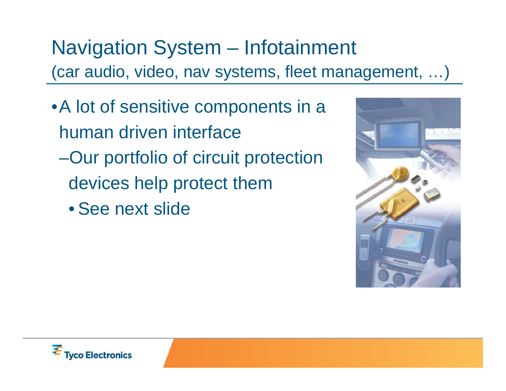## Navigation System – Infotainment (car audio, video, nav systems, fleet management, …)

- A lot of sensitive components in a human driven interface–Our portfolio of circuit protection devices help protect them
	- See next slide



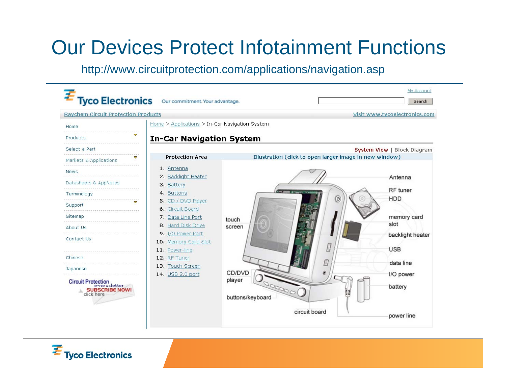## Our Devices Protect Infotainment Functions

http://www.circuitprotection.com/applications/navigation.asp



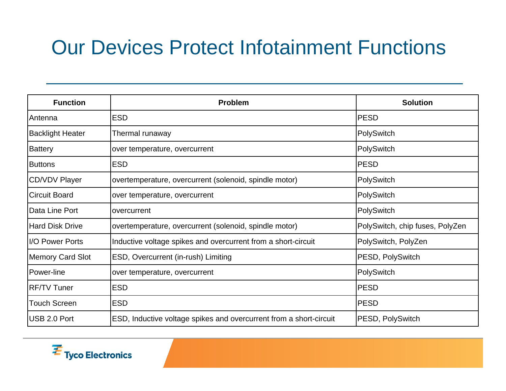## Our Devices Protect Infotainment Functions

| <b>Function</b>         | <b>Problem</b>                                                     | <b>Solution</b>                 |
|-------------------------|--------------------------------------------------------------------|---------------------------------|
| Antenna                 | <b>ESD</b>                                                         | <b>PESD</b>                     |
| <b>Backlight Heater</b> | Thermal runaway                                                    | PolySwitch                      |
| <b>Battery</b>          | over temperature, overcurrent                                      | PolySwitch                      |
| <b>Buttons</b>          | <b>ESD</b>                                                         | <b>PESD</b>                     |
| <b>CD/VDV Player</b>    | overtemperature, overcurrent (solenoid, spindle motor)             | PolySwitch                      |
| <b>Circuit Board</b>    | over temperature, overcurrent                                      | PolySwitch                      |
| Data Line Port          | overcurrent                                                        | PolySwitch                      |
| <b>Hard Disk Drive</b>  | overtemperature, overcurrent (solenoid, spindle motor)             | PolySwitch, chip fuses, PolyZen |
| <b>I/O Power Ports</b>  | Inductive voltage spikes and overcurrent from a short-circuit      | PolySwitch, PolyZen             |
| <b>Memory Card Slot</b> | ESD, Overcurrent (in-rush) Limiting                                | PESD, PolySwitch                |
| Power-line              | over temperature, overcurrent                                      | PolySwitch                      |
| <b>RF/TV Tuner</b>      | <b>ESD</b>                                                         | <b>PESD</b>                     |
| <b>Touch Screen</b>     | <b>ESD</b>                                                         | <b>PESD</b>                     |
| USB 2.0 Port            | ESD, Inductive voltage spikes and overcurrent from a short-circuit | PESD, PolySwitch                |

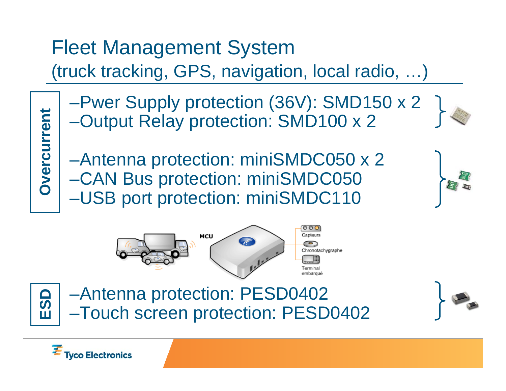Fleet Management System (truck tracking, GPS, navigation, local radio, …)

**Overcurrent Overcurrent**

–Pwer Supply protection (36V): SMD150 x 2 –Output Relay protection: SMD100 x 2

–Antenna protection: miniSMDC050 x 2 –CAN Bus protection: miniSMDC050 –USB port protection: miniSMDC110



 $\mathbf{\Omega}$ 

–Antenna protection: PESD0402 –Touch screen protection: PESD0402





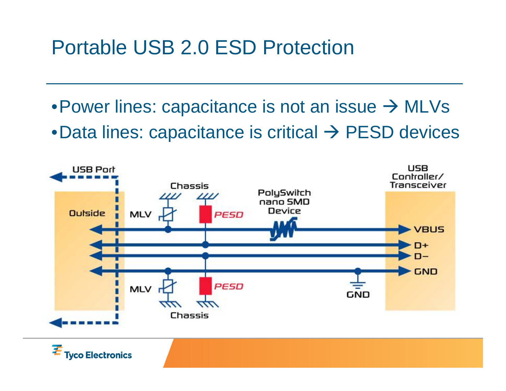### Portable USB 2.0 ESD Protection

 $\bullet$  Power lines: capacitance is not an issue  $\rightarrow$  MLVs  $\bullet$ Data lines: capacitance is critical  $\rightarrow$  PESD devices



**Tyco Electronics**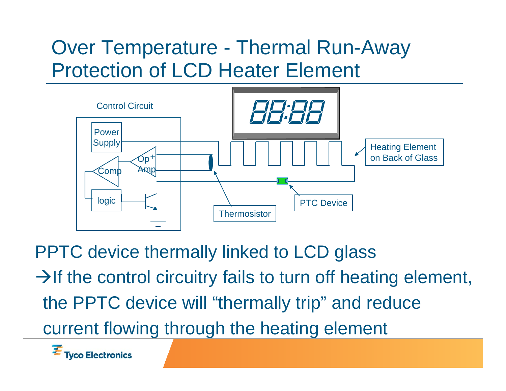## Over Temperature - Thermal Run-Away Protection of LCD Heater Element



PPTC device thermally linked to LCD glass  $\rightarrow$  If the control circuitry fails to turn off heating element, the PPTC device will "thermally trip" and reduce current flowing through the heating element

**Tyco Electronics**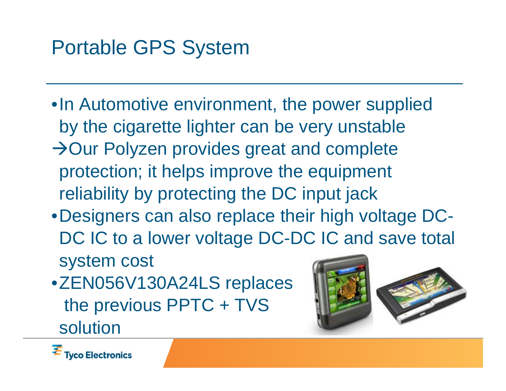# Portable GPS System

- •In Automotive environment, the power supplied by the cigarette lighter can be very unstable  $\rightarrow$  Our Polyzen provides great and complete protection; it helps improve the equipment reliability by protecting the DC input jack
- •Designers can also replace their high voltage DC-DC IC to a lower voltage DC-DC IC and save total system cost
- •ZEN056V130A24LS replaces the previous PPTC + TVS solution



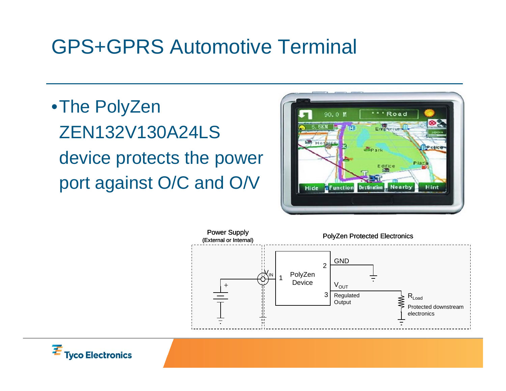### GPS+GPRS Automotive Terminal

•The PolyZen ZEN132V130A24LS device protects the power port against O/C and O/V





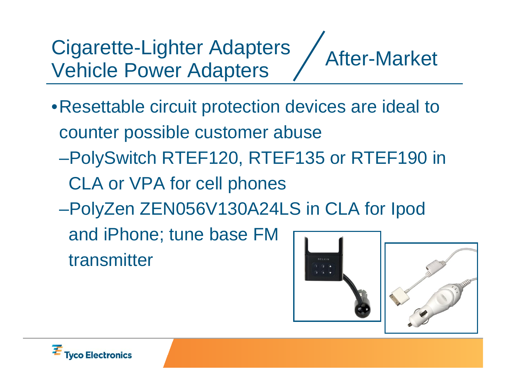Cigarette-Lighter Adapters Vehicle Power Adapters After-Market

- •Resettable circuit protection devices are ideal to counter possible customer abuse
	- –PolySwitch RTEF120, RTEF135 or RTEF190 in
		- CLA or VPA for cell phones
	- –PolyZen ZEN056V130A24LS in CLA for Ipod
		- and iPhone; tune base FM transmitter